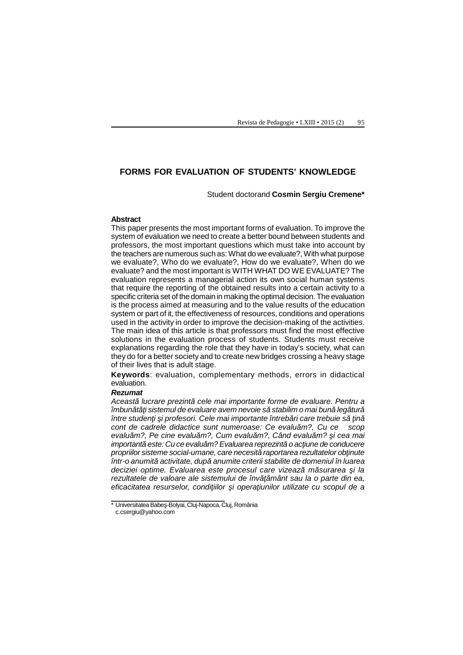# **FORMS FOR EVALUATION OF STUDENTS' KNOWLEDGE**

### Student doctorand **Cosmin Sergiu Cremene\***

#### **Abstract**

This paper presents the most important forms of evaluation. To improve the system of evaluation we need to create a better bound between students and professors, the most important questions which must take into account by the teachers are numerous such as: What do we evaluate?, With what purpose we evaluate?, Who do we evaluate?, How do we evaluate?, When do we evaluate? and the most important is WITH WHAT DO WE EVALUATE? The evaluation represents a managerial action its own social human systems that require the reporting of the obtained results into a certain activity to a specific criteria set of the domain in making the optimal decision. The evaluation is the process aimed at measuring and to the value results of the education system or part of it, the effectiveness of resources, conditions and operations used in the activity in order to improve the decision-making of the activities. The main idea of this article is that professors must find the most effective solutions in the evaluation process of students. Students must receive explanations regarding the role that they have in today's society, what can they do for a better society and to create new bridges crossing a heavy stage of their lives that is adult stage.

**Keywords**: evaluation, complementary methods, errors in didactical evaluation.

## *Rezumat*

*Această lucrare prezintă cele mai importante forme de evaluare. Pentru a îmbun* t *i sistemul de evaluare avem nevoie s* stabilim o mai bun leg tur *între studen i i profesori. Cele mai importante întreb ri care trebuie si in* cont de cadrele didactice sunt numeroase: Ce evalu m?, Cu ce scop evalu m?, Pe cine evalu m?, Cum evalu m?, Când evalu m? *i cea mai important este: Cu ce evalum? Evaluarea reprezint* o ac *iune de conducere propriilor sisteme social-umane, care necesit raportarea rezultatelor ob inute într-o anumită activitate, după anumite criterii stabilite de domeniul în luarea* deciziei optime. Evaluarea este procesul care vizeaz m surarea *i la* rezultatele de valoare ale sistemului de înv mânt sau la o parte din ea, eficacitatea resurselor, condi iilor *i opera iunilor utilizate cu scopul de a* 

<sup>\*</sup> Universitatea Babeş-Bolyai, Cluj-Napoca, Cluj, România c.csergiu@yahoo.com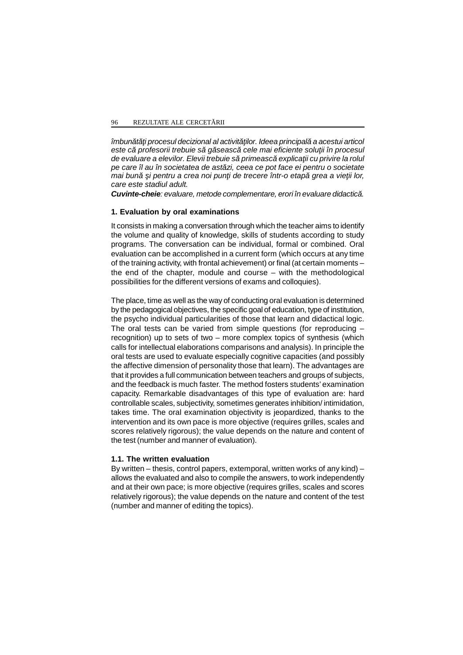*îmbun* t *i procesul decizional al activit ilor. Ideea principal a acestui articol* este c*i profesorii trebuie s*ă găsească cele mai eficiente solu ji în procesul de evaluare a elevilor. Elevii trebuie sprimeasce explica ii cu privire la rolul *pe care îl au în societatea de astăzi, ceea ce pot face ei pentru o societate mai buni i pentru a crea noi pun i de trecere într-o etap* grea a vie ji lor, *care este stadiul adult.*

**Cuvinte-cheie**: evaluare, metode complementare, erori în evaluare didactică.

## **1. Evaluation by oral examinations**

It consists in making a conversation through which the teacher aims to identify the volume and quality of knowledge, skills of students according to study programs. The conversation can be individual, formal or combined. Oral evaluation can be accomplished in a current form (which occurs at any time of the training activity, with frontal achievement) or final (at certain moments – the end of the chapter, module and course – with the methodological possibilities for the different versions of exams and colloquies).

The place, time as well as the way of conducting oral evaluation is determined by the pedagogical objectives, the specific goal of education, type of institution, the psycho individual particularities of those that learn and didactical logic. The oral tests can be varied from simple questions (for reproducing – recognition) up to sets of two – more complex topics of synthesis (which calls for intellectual elaborations comparisons and analysis). In principle the oral tests are used to evaluate especially cognitive capacities (and possibly the affective dimension of personality those that learn). The advantages are that it provides a full communication between teachers and groups of subjects, and the feedback is much faster. The method fosters students' examination capacity. Remarkable disadvantages of this type of evaluation are: hard controllable scales, subjectivity, sometimes generates inhibition/ intimidation, takes time. The oral examination objectivity is jeopardized, thanks to the intervention and its own pace is more objective (requires grilles, scales and scores relatively rigorous); the value depends on the nature and content of the test (number and manner of evaluation).

## **1.1. The written evaluation**

By written – thesis, control papers, extemporal, written works of any kind) – allows the evaluated and also to compile the answers, to work independently and at their own pace; is more objective (requires grilles, scales and scores relatively rigorous); the value depends on the nature and content of the test (number and manner of editing the topics).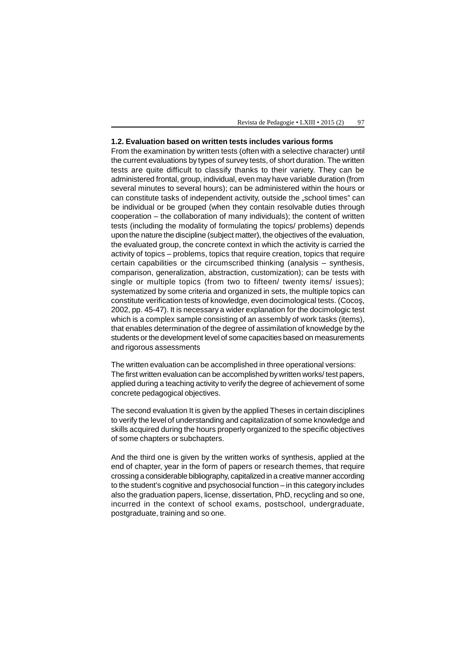#### **1.2. Evaluation based on written tests includes various forms**

From the examination by written tests (often with a selective character) until the current evaluations by types of survey tests, of short duration. The written tests are quite difficult to classify thanks to their variety. They can be administered frontal, group, individual, even may have variable duration (from several minutes to several hours); can be administered within the hours or can constitute tasks of independent activity, outside the "school times" can be individual or be grouped (when they contain resolvable duties through cooperation – the collaboration of many individuals); the content of written tests (including the modality of formulating the topics/ problems) depends upon the nature the discipline (subject matter), the objectives of the evaluation, the evaluated group, the concrete context in which the activity is carried the activity of topics – problems, topics that require creation, topics that require certain capabilities or the circumscribed thinking (analysis – synthesis, comparison, generalization, abstraction, customization); can be tests with single or multiple topics (from two to fifteen/ twenty items/ issues); systematized by some criteria and organized in sets, the multiple topics can constitute verification tests of knowledge, even docimological tests. (Coco, 2002, pp. 45-47). It is necessary a wider explanation for the docimologic test which is a complex sample consisting of an assembly of work tasks (items), that enables determination of the degree of assimilation of knowledge by the students or the development level of some capacities based on measurements and rigorous assessments

The written evaluation can be accomplished in three operational versions: The first written evaluation can be accomplished by written works/ test papers, applied during a teaching activity to verify the degree of achievement of some concrete pedagogical objectives.

The second evaluation It is given by the applied Theses in certain disciplines to verify the level of understanding and capitalization of some knowledge and skills acquired during the hours properly organized to the specific objectives of some chapters or subchapters.

And the third one is given by the written works of synthesis, applied at the end of chapter, year in the form of papers or research themes, that require crossing a considerable bibliography, capitalized in a creative manner according to the student's cognitive and psychosocial function – in this category includes also the graduation papers, license, dissertation, PhD, recycling and so one, incurred in the context of school exams, postschool, undergraduate, postgraduate, training and so one.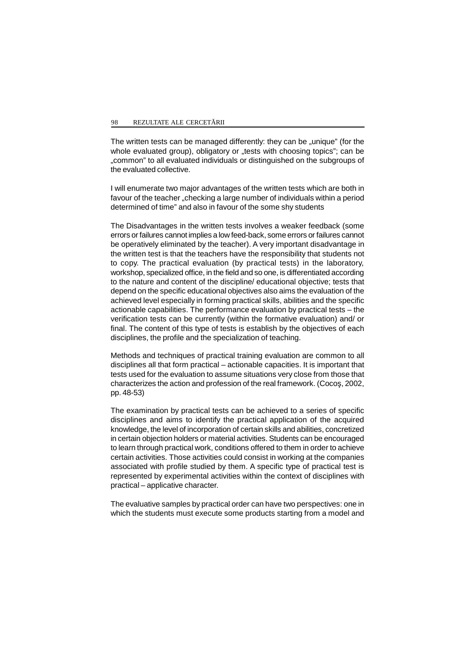The written tests can be managed differently: they can be "unique" (for the whole evaluated group), obligatory or "tests with choosing topics"; can be "common" to all evaluated individuals or distinguished on the subgroups of the evaluated collective.

I will enumerate two major advantages of the written tests which are both in favour of the teacher "checking a large number of individuals within a period determined of time" and also in favour of the some shy students

The Disadvantages in the written tests involves a weaker feedback (some errors or failures cannot implies a low feed-back, some errors or failures cannot be operatively eliminated by the teacher). A very important disadvantage in the written test is that the teachers have the responsibility that students not to copy. The practical evaluation (by practical tests) in the laboratory, workshop, specialized office, in the field and so one, is differentiated according to the nature and content of the discipline/ educational objective; tests that depend on the specific educational objectives also aims the evaluation of the achieved level especially in forming practical skills, abilities and the specific actionable capabilities. The performance evaluation by practical tests – the verification tests can be currently (within the formative evaluation) and/ or final. The content of this type of tests is establish by the objectives of each disciplines, the profile and the specialization of teaching.

Methods and techniques of practical training evaluation are common to all disciplines all that form practical – actionable capacities. It is important that tests used for the evaluation to assume situations very close from those that characterizes the action and profession of the real framework. (Coco, 2002, pp. 48-53)

The examination by practical tests can be achieved to a series of specific disciplines and aims to identify the practical application of the acquired knowledge, the level of incorporation of certain skills and abilities, concretized in certain objection holders or material activities. Students can be encouraged to learn through practical work, conditions offered to them in order to achieve certain activities. Those activities could consist in working at the companies associated with profile studied by them. A specific type of practical test is represented by experimental activities within the context of disciplines with practical – applicative character.

The evaluative samples by practical order can have two perspectives: one in which the students must execute some products starting from a model and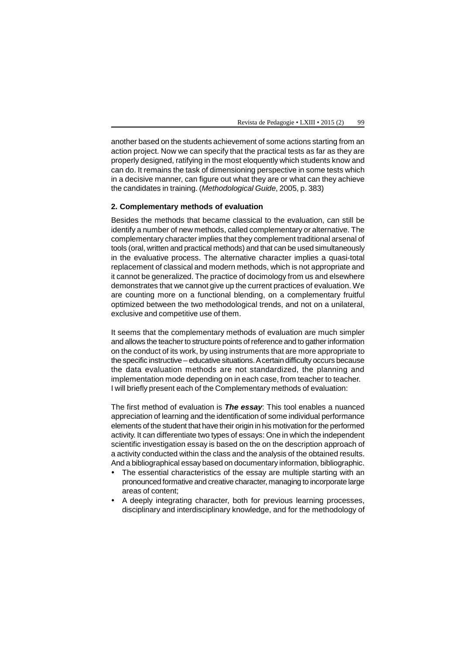another based on the students achievement of some actions starting from an action project. Now we can specify that the practical tests as far as they are properly designed, ratifying in the most eloquently which students know and can do. It remains the task of dimensioning perspective in some tests which in a decisive manner, can figure out what they are or what can they achieve the candidates in training. (*Methodological Guide*, 2005, p. 383)

## **2. Complementary methods of evaluation**

Besides the methods that became classical to the evaluation, can still be identify a number of new methods, called complementary or alternative. The complementary character implies that they complement traditional arsenal of tools (oral, written and practical methods) and that can be used simultaneously in the evaluative process. The alternative character implies a quasi-total replacement of classical and modern methods, which is not appropriate and it cannot be generalized. The practice of docimology from us and elsewhere demonstrates that we cannot give up the current practices of evaluation. We are counting more on a functional blending, on a complementary fruitful optimized between the two methodological trends, and not on a unilateral, exclusive and competitive use of them.

It seems that the complementary methods of evaluation are much simpler and allows the teacher to structure points of reference and to gather information on the conduct of its work, by using instruments that are more appropriate to the specific instructive – educative situations. A certain difficulty occurs because the data evaluation methods are not standardized, the planning and implementation mode depending on in each case, from teacher to teacher. I will briefly present each of the Complementary methods of evaluation:

The first method of evaluation is *The essay*: This tool enables a nuanced appreciation of learning and the identification of some individual performance elements of the student that have their origin in his motivation for the performed activity. It can differentiate two types of essays: One in which the independent scientific investigation essay is based on the on the description approach of a activity conducted within the class and the analysis of the obtained results. And a bibliographical essay based on documentary information, bibliographic.

- The essential characteristics of the essay are multiple starting with an pronounced formative and creative character, managing to incorporate large areas of content;
- A deeply integrating character, both for previous learning processes, disciplinary and interdisciplinary knowledge, and for the methodology of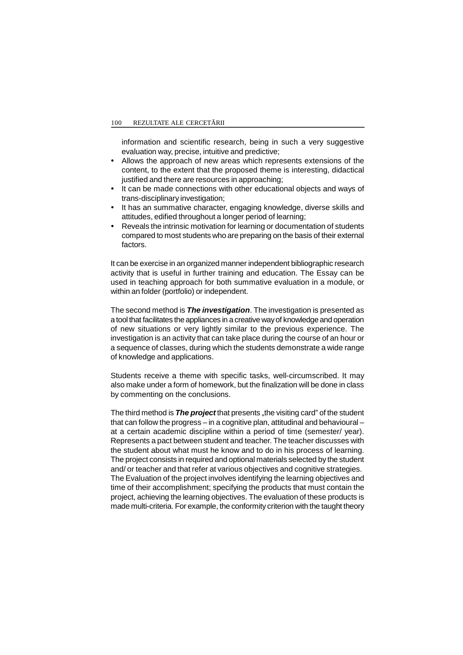information and scientific research, being in such a very suggestive evaluation way, precise, intuitive and predictive;

- Allows the approach of new areas which represents extensions of the content, to the extent that the proposed theme is interesting, didactical justified and there are resources in approaching;
- It can be made connections with other educational objects and ways of trans-disciplinary investigation;
- It has an summative character, engaging knowledge, diverse skills and attitudes, edified throughout a longer period of learning;
- Reveals the intrinsic motivation for learning or documentation of students compared to most students who are preparing on the basis of their external factors.

It can be exercise in an organized manner independent bibliographic research activity that is useful in further training and education. The Essay can be used in teaching approach for both summative evaluation in a module, or within an folder (portfolio) or independent.

The second method is *The investigation*. The investigation is presented as a tool that facilitates the appliances in a creative way of knowledge and operation of new situations or very lightly similar to the previous experience. The investigation is an activity that can take place during the course of an hour or a sequence of classes, during which the students demonstrate a wide range of knowledge and applications.

Students receive a theme with specific tasks, well-circumscribed. It may also make under a form of homework, but the finalization will be done in class by commenting on the conclusions.

The third method is **The project** that presents , the visiting card" of the student that can follow the progress – in a cognitive plan, attitudinal and behavioural – at a certain academic discipline within a period of time (semester/ year). Represents a pact between student and teacher. The teacher discusses with the student about what must he know and to do in his process of learning. The project consists in required and optional materials selected by the student and/ or teacher and that refer at various objectives and cognitive strategies. The Evaluation of the project involves identifying the learning objectives and time of their accomplishment; specifying the products that must contain the project, achieving the learning objectives. The evaluation of these products is made multi-criteria. For example, the conformity criterion with the taught theory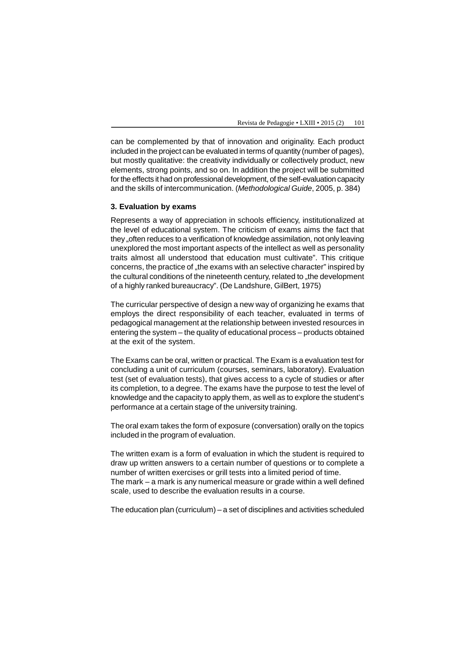can be complemented by that of innovation and originality. Each product included in the project can be evaluated in terms of quantity (number of pages), but mostly qualitative: the creativity individually or collectively product, new elements, strong points, and so on. In addition the project will be submitted for the effects it had on professional development, of the self-evaluation capacity and the skills of intercommunication. (*Methodological Guide*, 2005, p. 384)

## **3. Evaluation by exams**

Represents a way of appreciation in schools efficiency, institutionalized at the level of educational system. The criticism of exams aims the fact that they "often reduces to a verification of knowledge assimilation, not only leaving unexplored the most important aspects of the intellect as well as personality traits almost all understood that education must cultivate". This critique concerns, the practice of "the exams with an selective character" inspired by the cultural conditions of the nineteenth century, related to "the development of a highly ranked bureaucracy". (De Landshure, GilBert, 1975)

The curricular perspective of design a new way of organizing he exams that employs the direct responsibility of each teacher, evaluated in terms of pedagogical management at the relationship between invested resources in entering the system – the quality of educational process – products obtained at the exit of the system.

The Exams can be oral, written or practical. The Exam is a evaluation test for concluding a unit of curriculum (courses, seminars, laboratory). Evaluation test (set of evaluation tests), that gives access to a cycle of studies or after its completion, to a degree. The exams have the purpose to test the level of knowledge and the capacity to apply them, as well as to explore the student's performance at a certain stage of the university training.

The oral exam takes the form of exposure (conversation) orally on the topics included in the program of evaluation.

The written exam is a form of evaluation in which the student is required to draw up written answers to a certain number of questions or to complete a number of written exercises or grill tests into a limited period of time. The mark – a mark is any numerical measure or grade within a well defined scale, used to describe the evaluation results in a course.

The education plan (curriculum) – a set of disciplines and activities scheduled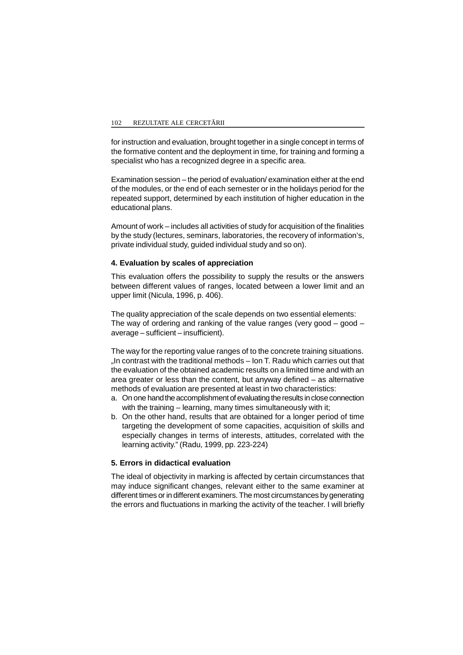#### 102 REZULTATE ALE CERCET RII

for instruction and evaluation, brought together in a single concept in terms of the formative content and the deployment in time, for training and forming a specialist who has a recognized degree in a specific area.

Examination session – the period of evaluation/ examination either at the end of the modules, or the end of each semester or in the holidays period for the repeated support, determined by each institution of higher education in the educational plans.

Amount of work – includes all activities of study for acquisition of the finalities by the study (lectures, seminars, laboratories, the recovery of information's, private individual study, guided individual study and so on).

## **4. Evaluation by scales of appreciation**

This evaluation offers the possibility to supply the results or the answers between different values of ranges, located between a lower limit and an upper limit (Nicula, 1996, p. 406).

The quality appreciation of the scale depends on two essential elements: The way of ordering and ranking of the value ranges (very good – good – average – sufficient – insufficient).

The way for the reporting value ranges of to the concrete training situations.  $\Box$  In contrast with the traditional methods – Ion T. Radu which carries out that the evaluation of the obtained academic results on a limited time and with an area greater or less than the content, but anyway defined – as alternative methods of evaluation are presented at least in two characteristics:

- a. On one hand the accomplishment of evaluating the results in close connection with the training – learning, many times simultaneously with it;
- b. On the other hand, results that are obtained for a longer period of time targeting the development of some capacities, acquisition of skills and especially changes in terms of interests, attitudes, correlated with the learning activity." (Radu, 1999, pp. 223-224)

## **5. Errors in didactical evaluation**

The ideal of objectivity in marking is affected by certain circumstances that may induce significant changes, relevant either to the same examiner at different times or in different examiners. The most circumstances by generating the errors and fluctuations in marking the activity of the teacher. I will briefly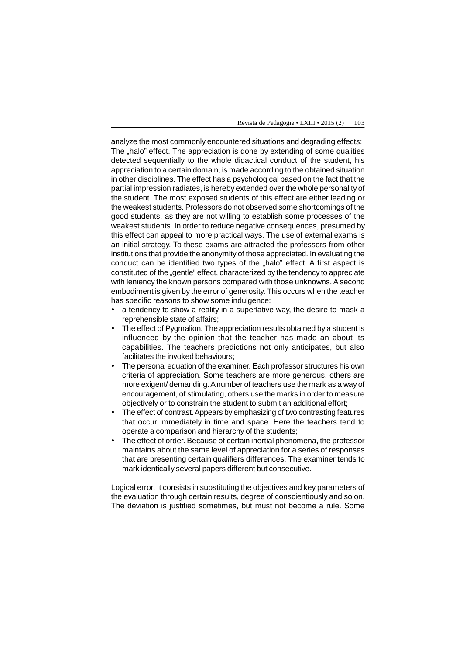analyze the most commonly encountered situations and degrading effects: The "halo" effect. The appreciation is done by extending of some qualities detected sequentially to the whole didactical conduct of the student, his appreciation to a certain domain, is made according to the obtained situation in other disciplines. The effect has a psychological based on the fact that the partial impression radiates, is hereby extended over the whole personality of the student. The most exposed students of this effect are either leading or the weakest students. Professors do not observed some shortcomings of the good students, as they are not willing to establish some processes of the weakest students. In order to reduce negative consequences, presumed by this effect can appeal to more practical ways. The use of external exams is an initial strategy. To these exams are attracted the professors from other institutions that provide the anonymity of those appreciated. In evaluating the conduct can be identified two types of the "halo" effect. A first aspect is constituted of the "gentle" effect, characterized by the tendency to appreciate with leniency the known persons compared with those unknowns. A second embodiment is given by the error of generosity. This occurs when the teacher has specific reasons to show some indulgence:

- a tendency to show a reality in a superlative way, the desire to mask a reprehensible state of affairs;
- The effect of Pygmalion. The appreciation results obtained by a student is influenced by the opinion that the teacher has made an about its capabilities. The teachers predictions not only anticipates, but also facilitates the invoked behaviours;
- The personal equation of the examiner. Each professor structures his own criteria of appreciation. Some teachers are more generous, others are more exigent/ demanding. A number of teachers use the mark as a way of encouragement, of stimulating, others use the marks in order to measure objectively or to constrain the student to submit an additional effort;
- The effect of contrast. Appears by emphasizing of two contrasting features that occur immediately in time and space. Here the teachers tend to operate a comparison and hierarchy of the students;
- The effect of order. Because of certain inertial phenomena, the professor maintains about the same level of appreciation for a series of responses that are presenting certain qualifiers differences. The examiner tends to mark identically several papers different but consecutive.

Logical error. It consists in substituting the objectives and key parameters of the evaluation through certain results, degree of conscientiously and so on. The deviation is justified sometimes, but must not become a rule. Some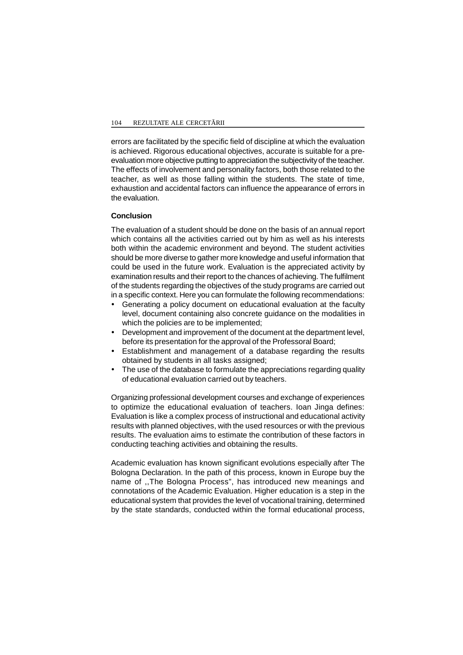errors are facilitated by the specific field of discipline at which the evaluation is achieved. Rigorous educational objectives, accurate is suitable for a preevaluation more objective putting to appreciation the subjectivity of the teacher. The effects of involvement and personality factors, both those related to the teacher, as well as those falling within the students. The state of time, exhaustion and accidental factors can influence the appearance of errors in the evaluation.

## **Conclusion**

The evaluation of a student should be done on the basis of an annual report which contains all the activities carried out by him as well as his interests both within the academic environment and beyond. The student activities should be more diverse to gather more knowledge and useful information that could be used in the future work. Evaluation is the appreciated activity by examination results and their report to the chances of achieving. The fulfilment of the students regarding the objectives of the study programs are carried out in a specific context. Here you can formulate the following recommendations:

- Generating a policy document on educational evaluation at the faculty level, document containing also concrete guidance on the modalities in which the policies are to be implemented;
- Development and improvement of the document at the department level, before its presentation for the approval of the Professoral Board;
- Establishment and management of a database regarding the results obtained by students in all tasks assigned;
- The use of the database to formulate the appreciations regarding quality of educational evaluation carried out by teachers.

Organizing professional development courses and exchange of experiences to optimize the educational evaluation of teachers. Ioan Jinga defines: Evaluation is like a complex process of instructional and educational activity results with planned objectives, with the used resources or with the previous results. The evaluation aims to estimate the contribution of these factors in conducting teaching activities and obtaining the results.

Academic evaluation has known significant evolutions especially after The Bologna Declaration. In the path of this process, known in Europe buy the name of ,,The Bologna Process", has introduced new meanings and connotations of the Academic Evaluation. Higher education is a step in the educational system that provides the level of vocational training, determined by the state standards, conducted within the formal educational process,